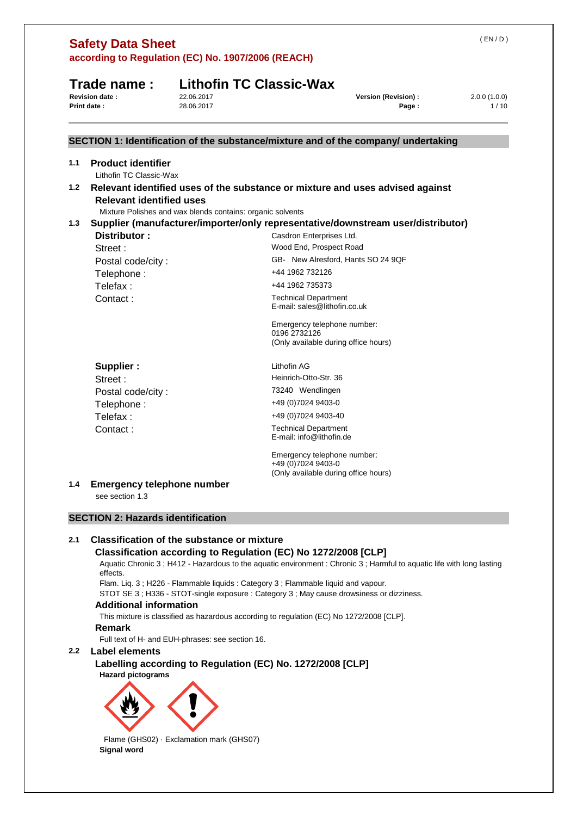|     | Trade name:<br><b>Revision date:</b><br>Print date:        | 22.06.2017<br>28.06.2017                                   | <b>Lithofin TC Classic-Wax</b><br>Version (Revision) :<br>Page:                                                                                                                         | 2.0.0(1.0.0)<br>1/10 |
|-----|------------------------------------------------------------|------------------------------------------------------------|-----------------------------------------------------------------------------------------------------------------------------------------------------------------------------------------|----------------------|
|     |                                                            |                                                            | SECTION 1: Identification of the substance/mixture and of the company/ undertaking                                                                                                      |                      |
| 1.1 | <b>Product identifier</b>                                  |                                                            |                                                                                                                                                                                         |                      |
| 1.2 | Lithofin TC Classic-Wax<br><b>Relevant identified uses</b> | Mixture Polishes and wax blends contains: organic solvents | Relevant identified uses of the substance or mixture and uses advised against                                                                                                           |                      |
| 1.3 |                                                            |                                                            | Supplier (manufacturer/importer/only representative/downstream user/distributor)                                                                                                        |                      |
|     | Distributor:                                               |                                                            | Casdron Enterprises Ltd.                                                                                                                                                                |                      |
|     | Street:                                                    |                                                            | Wood End, Prospect Road                                                                                                                                                                 |                      |
|     | Postal code/city:                                          |                                                            | GB- New Alresford, Hants SO 24 9QF                                                                                                                                                      |                      |
|     | Telephone:                                                 |                                                            | +44 1962 732126                                                                                                                                                                         |                      |
|     | Telefax:                                                   |                                                            | +44 1962 735373                                                                                                                                                                         |                      |
|     | Contact:                                                   |                                                            | <b>Technical Department</b><br>E-mail: sales@lithofin.co.uk                                                                                                                             |                      |
|     |                                                            |                                                            | Emergency telephone number:<br>0196 2732126<br>(Only available during office hours)                                                                                                     |                      |
|     |                                                            |                                                            |                                                                                                                                                                                         |                      |
|     | <b>Supplier:</b>                                           |                                                            | Lithofin AG                                                                                                                                                                             |                      |
|     | Street:                                                    |                                                            | Heinrich-Otto-Str. 36                                                                                                                                                                   |                      |
|     | Postal code/city:                                          |                                                            | 73240 Wendlingen                                                                                                                                                                        |                      |
|     | Telephone:                                                 |                                                            | +49 (0) 7024 9403-0                                                                                                                                                                     |                      |
|     | Telefax:                                                   |                                                            | +49 (0) 7024 9403-40                                                                                                                                                                    |                      |
|     | Contact:                                                   |                                                            | <b>Technical Department</b><br>E-mail: info@lithofin.de                                                                                                                                 |                      |
|     |                                                            |                                                            | Emergency telephone number:<br>+49 (0)7024 9403-0<br>(Only available during office hours)                                                                                               |                      |
| 1.4 | <b>Emergency telephone number</b>                          |                                                            |                                                                                                                                                                                         |                      |
|     | see section 1.3                                            |                                                            |                                                                                                                                                                                         |                      |
|     | <b>SECTION 2: Hazards identification</b>                   |                                                            |                                                                                                                                                                                         |                      |
| 2.1 |                                                            | <b>Classification of the substance or mixture</b>          |                                                                                                                                                                                         |                      |
|     | effects.                                                   |                                                            | Classification according to Regulation (EC) No 1272/2008 [CLP]<br>Aquatic Chronic 3; H412 - Hazardous to the aquatic environment : Chronic 3; Harmful to aquatic life with long lasting |                      |
|     | <b>Additional information</b>                              |                                                            | Flam. Liq. 3; H226 - Flammable liquids : Category 3; Flammable liquid and vapour.<br>STOT SE 3; H336 - STOT-single exposure : Category 3; May cause drowsiness or dizziness.            |                      |
|     | <b>Remark</b>                                              |                                                            | This mixture is classified as hazardous according to regulation (EC) No 1272/2008 [CLP].                                                                                                |                      |
| 2.2 | <b>Label elements</b>                                      | Full text of H- and EUH-phrases: see section 16.           |                                                                                                                                                                                         |                      |
|     |                                                            |                                                            | Labelling according to Regulation (EC) No. 1272/2008 [CLP]                                                                                                                              |                      |

Flame (GHS02) · Exclamation mark (GHS07) **Signal word** 

( EN / D )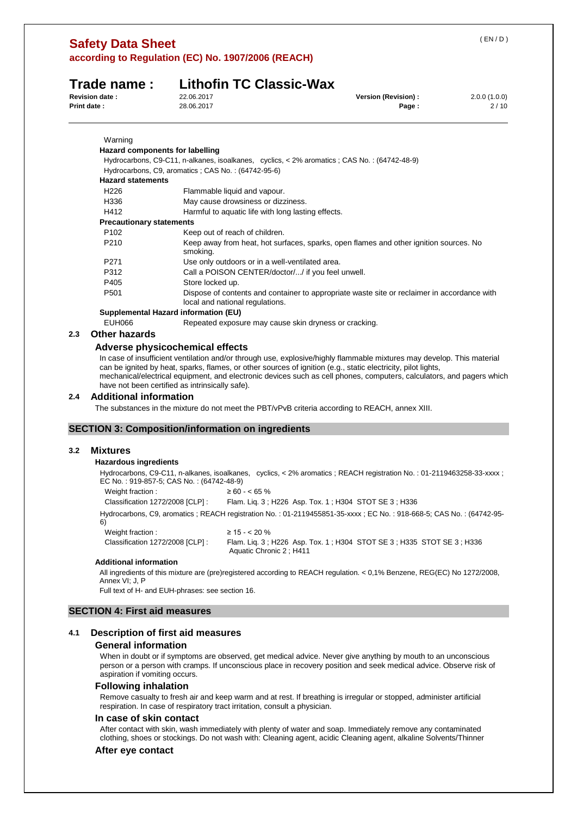| Trade name :                    | <b>Lithofin TC Classic-Wax</b>                                                                |                                                                                       |              |  |  |
|---------------------------------|-----------------------------------------------------------------------------------------------|---------------------------------------------------------------------------------------|--------------|--|--|
| <b>Revision date:</b>           | 22.06.2017                                                                                    | Version (Revision) :                                                                  | 2.0.0(1.0.0) |  |  |
| Print date:                     | 28.06.2017                                                                                    | Page:                                                                                 | 2/10         |  |  |
| Warning                         |                                                                                               |                                                                                       |              |  |  |
| Hazard components for labelling |                                                                                               |                                                                                       |              |  |  |
|                                 | Hydrocarbons, C9-C11, n-alkanes, isoalkanes, cyclics, < 2% aromatics : CAS No. : (64742-48-9) |                                                                                       |              |  |  |
|                                 | Hydrocarbons, C9, aromatics; CAS No.: (64742-95-6)                                            |                                                                                       |              |  |  |
| <b>Hazard statements</b>        |                                                                                               |                                                                                       |              |  |  |
| H <sub>226</sub>                | Flammable liquid and vapour.                                                                  |                                                                                       |              |  |  |
| H336                            | May cause drowsiness or dizziness.                                                            |                                                                                       |              |  |  |
| H412                            | Harmful to aquatic life with long lasting effects.                                            |                                                                                       |              |  |  |
| <b>Precautionary statements</b> |                                                                                               |                                                                                       |              |  |  |
| P <sub>102</sub>                | Keep out of reach of children.                                                                |                                                                                       |              |  |  |
| P <sub>210</sub>                |                                                                                               | Keep away from heat, hot surfaces, sparks, open flames and other ignition sources. No |              |  |  |

|                  | smoking.                                                                                                                       |
|------------------|--------------------------------------------------------------------------------------------------------------------------------|
| P <sub>271</sub> | Use only outdoors or in a well-ventilated area.                                                                                |
| P312             | Call a POISON CENTER/doctor// if you feel unwell.                                                                              |
| P405             | Store locked up.                                                                                                               |
| P <sub>501</sub> | Dispose of contents and container to appropriate waste site or reclaimer in accordance with<br>local and national regulations. |

### **Supplemental Hazard information (EU)**

EUH066 Repeated exposure may cause skin dryness or cracking.

### **2.3 Other hazards**

### **Adverse physicochemical effects**

In case of insufficient ventilation and/or through use, explosive/highly flammable mixtures may develop. This material can be ignited by heat, sparks, flames, or other sources of ignition (e.g., static electricity, pilot lights, mechanical/electrical equipment, and electronic devices such as cell phones, computers, calculators, and pagers which have not been certified as intrinsically safe).

### **2.4 Additional information**

The substances in the mixture do not meet the PBT/vPvB criteria according to REACH, annex XIII.

### **SECTION 3: Composition/information on ingredients**

### **3.2 Mixtures**

### **Hazardous ingredients**

Hydrocarbons, C9-C11, n-alkanes, isoalkanes, cyclics, < 2% aromatics ; REACH registration No.: 01-2119463258-33-xxxx ; EC No. : 919-857-5; CAS No. : (64742-48-9)

Weight fraction :  $\geq 60 - 65 \%$ 

Classification 1272/2008 [CLP] : Flam. Liq. 3 ; H226 Asp. Tox. 1 ; H304 STOT SE 3 ; H336

Hydrocarbons, C9, aromatics ; REACH registration No. : 01-2119455851-35-xxxx ; EC No. : 918-668-5; CAS No. : (64742-95-

6) Weight fraction :  $\geq 15 - 20 \%$ Classification 1272/2008 [CLP] : Flam. Liq. 3 ; H226 Asp. Tox. 1 ; H304 STOT SE 3 ; H335 STOT SE 3 ; H336 Aquatic Chronic 2 ; H411

### **Additional information**

All ingredients of this mixture are (pre)registered according to REACH regulation. < 0,1% Benzene, REG(EC) No 1272/2008, Annex VI<sup>I</sup> J, P

Full text of H- and EUH-phrases: see section 16.

### **SECTION 4: First aid measures**

### **4.1 Description of first aid measures**

### **General information**

When in doubt or if symptoms are observed, get medical advice. Never give anything by mouth to an unconscious person or a person with cramps. If unconscious place in recovery position and seek medical advice. Observe risk of aspiration if vomiting occurs.

### **Following inhalation**

Remove casualty to fresh air and keep warm and at rest. If breathing is irregular or stopped, administer artificial respiration. In case of respiratory tract irritation, consult a physician.

### **In case of skin contact**

After contact with skin, wash immediately with plenty of water and soap. Immediately remove any contaminated clothing, shoes or stockings. Do not wash with: Cleaning agent, acidic Cleaning agent, alkaline Solvents/Thinner

### **After eye contact**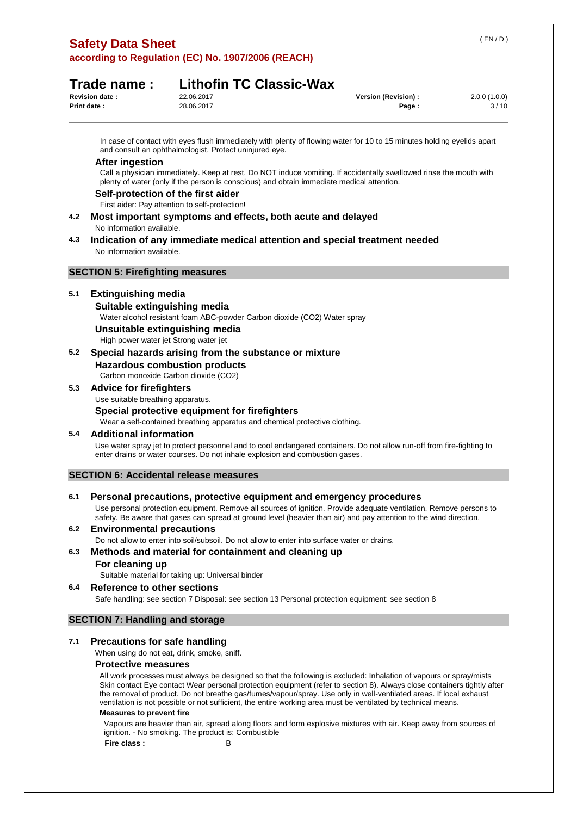# **Trade name : Lithofin TC Classic-Wax**

| 22.06.2017 |  |
|------------|--|
| 28.06.2017 |  |

| <b>Revision date :</b> | 22.06.2017 | Version (Revision) : | 2.0.0(1.0.0) |
|------------------------|------------|----------------------|--------------|
| <b>Print date:</b>     | 28.06.2017 | Page.                | 3/10         |

In case of contact with eyes flush immediately with plenty of flowing water for 10 to 15 minutes holding eyelids apart and consult an ophthalmologist. Protect uninjured eye.

### **After ingestion**

Call a physician immediately. Keep at rest. Do NOT induce vomiting. If accidentally swallowed rinse the mouth with plenty of water (only if the person is conscious) and obtain immediate medical attention.

### **Self-protection of the first aider**

First aider: Pay attention to self-protection!

# **4.2 Most important symptoms and effects, both acute and delayed**

- No information available.
- **4.3 Indication of any immediate medical attention and special treatment needed**  No information available.

### **SECTION 5: Firefighting measures**

### **5.1 Extinguishing media**

**Suitable extinguishing media**  Water alcohol resistant foam ABC-powder Carbon dioxide (CO2) Water spray **Unsuitable extinguishing media**  High power water jet Strong water jet

- **5.2 Special hazards arising from the substance or mixture Hazardous combustion products**  Carbon monoxide Carbon dioxide (CO2)
- **5.3 Advice for firefighters**  Use suitable breathing apparatus. **Special protective equipment for firefighters**

Wear a self-contained breathing apparatus and chemical protective clothing.

### **5.4 Additional information**

Use water spray jet to protect personnel and to cool endangered containers. Do not allow run-off from fire-fighting to enter drains or water courses. Do not inhale explosion and combustion gases.

### **SECTION 6: Accidental release measures**

### **6.1 Personal precautions, protective equipment and emergency procedures**

Use personal protection equipment. Remove all sources of ignition. Provide adequate ventilation. Remove persons to safety. Be aware that gases can spread at ground level (heavier than air) and pay attention to the wind direction.

### **6.2 Environmental precautions**

Do not allow to enter into soil/subsoil. Do not allow to enter into surface water or drains.

### **6.3 Methods and material for containment and cleaning up**

### **For cleaning up**

Suitable material for taking up: Universal binder

# **6.4 Reference to other sections**  Safe handling: see section 7 Disposal: see section 13 Personal protection equipment: see section 8

### **SECTION 7: Handling and storage**

### **7.1 Precautions for safe handling**

When using do not eat, drink, smoke, sniff.

### **Protective measures**

All work processes must always be designed so that the following is excluded: Inhalation of vapours or spray/mists Skin contact Eye contact Wear personal protection equipment (refer to section 8). Always close containers tightly after the removal of product. Do not breathe gas/fumes/vapour/spray. Use only in well-ventilated areas. If local exhaust ventilation is not possible or not sufficient, the entire working area must be ventilated by technical means.

### **Measures to prevent fire**

Vapours are heavier than air, spread along floors and form explosive mixtures with air. Keep away from sources of ignition. - No smoking. The product is: Combustible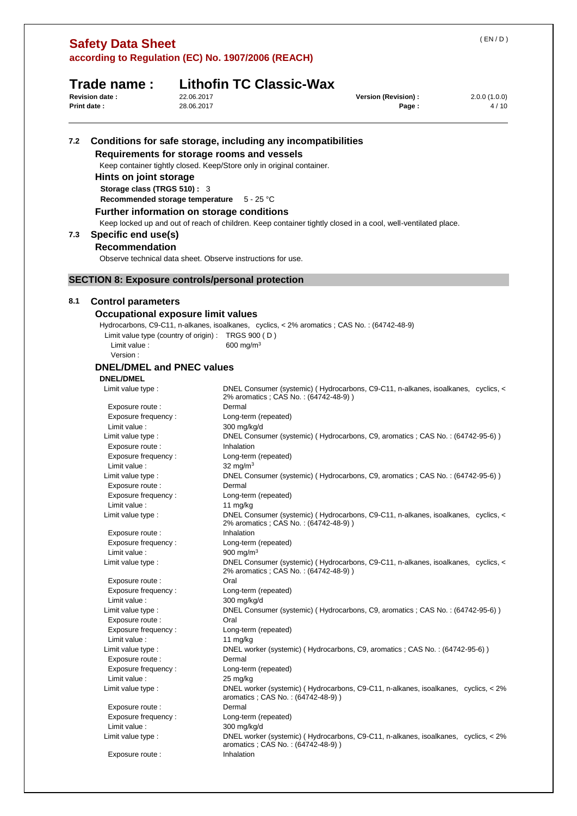| Trade name : |                                                                                                            | <b>Lithofin TC Classic-Wax</b>                            |                                                                       |                                                                                                              |                      |  |  |  |
|--------------|------------------------------------------------------------------------------------------------------------|-----------------------------------------------------------|-----------------------------------------------------------------------|--------------------------------------------------------------------------------------------------------------|----------------------|--|--|--|
|              | <b>Revision date:</b><br>Print date:                                                                       | 22.06.2017<br>Version (Revision) :<br>28.06.2017<br>Page: |                                                                       |                                                                                                              | 2.0.0(1.0.0)<br>4/10 |  |  |  |
| 7.2          | Conditions for safe storage, including any incompatibilities<br>Requirements for storage rooms and vessels |                                                           |                                                                       |                                                                                                              |                      |  |  |  |
|              |                                                                                                            |                                                           | Keep container tightly closed. Keep/Store only in original container. |                                                                                                              |                      |  |  |  |
|              | Hints on joint storage                                                                                     |                                                           |                                                                       |                                                                                                              |                      |  |  |  |
|              | Storage class (TRGS 510): 3<br>Recommended storage temperature                                             |                                                           | $5 - 25 °C$                                                           |                                                                                                              |                      |  |  |  |
|              | Further information on storage conditions                                                                  |                                                           |                                                                       |                                                                                                              |                      |  |  |  |
|              |                                                                                                            |                                                           |                                                                       | Keep locked up and out of reach of children. Keep container tightly closed in a cool, well-ventilated place. |                      |  |  |  |
| 7.3          | Specific end use(s)                                                                                        |                                                           |                                                                       |                                                                                                              |                      |  |  |  |
|              | <b>Recommendation</b>                                                                                      |                                                           |                                                                       |                                                                                                              |                      |  |  |  |
|              |                                                                                                            |                                                           | Observe technical data sheet. Observe instructions for use.           |                                                                                                              |                      |  |  |  |
|              | <b>SECTION 8: Exposure controls/personal protection</b>                                                    |                                                           |                                                                       |                                                                                                              |                      |  |  |  |
| 8.1          |                                                                                                            |                                                           |                                                                       |                                                                                                              |                      |  |  |  |
|              | <b>Control parameters</b><br><b>Occupational exposure limit values</b>                                     |                                                           |                                                                       |                                                                                                              |                      |  |  |  |
|              |                                                                                                            |                                                           |                                                                       |                                                                                                              |                      |  |  |  |
|              | Limit value type (country of origin): TRGS 900 (D)                                                         |                                                           |                                                                       | Hydrocarbons, C9-C11, n-alkanes, isoalkanes, cyclics, < 2% aromatics ; CAS No.: (64742-48-9)                 |                      |  |  |  |
|              | Limit value :                                                                                              |                                                           | 600 mg/m <sup>3</sup>                                                 |                                                                                                              |                      |  |  |  |
|              | Version:                                                                                                   |                                                           |                                                                       |                                                                                                              |                      |  |  |  |
|              | <b>DNEL/DMEL and PNEC values</b>                                                                           |                                                           |                                                                       |                                                                                                              |                      |  |  |  |
|              | <b>DNEL/DMEL</b>                                                                                           |                                                           |                                                                       |                                                                                                              |                      |  |  |  |
|              | Limit value type :                                                                                         |                                                           | 2% aromatics ; CAS No. : (64742-48-9))                                | DNEL Consumer (systemic) (Hydrocarbons, C9-C11, n-alkanes, isoalkanes, cyclics, <                            |                      |  |  |  |
|              | Exposure route :                                                                                           |                                                           | Dermal                                                                |                                                                                                              |                      |  |  |  |
|              | Exposure frequency:                                                                                        |                                                           | Long-term (repeated)                                                  |                                                                                                              |                      |  |  |  |
|              | Limit value :                                                                                              |                                                           | 300 mg/kg/d                                                           |                                                                                                              |                      |  |  |  |
|              | Limit value type :                                                                                         |                                                           |                                                                       | DNEL Consumer (systemic) (Hydrocarbons, C9, aromatics ; CAS No. : (64742-95-6))                              |                      |  |  |  |
|              | Exposure route :<br>Exposure frequency:                                                                    |                                                           | Inhalation<br>Long-term (repeated)                                    |                                                                                                              |                      |  |  |  |
|              | Limit value :                                                                                              |                                                           | 32 mg/m $3$                                                           |                                                                                                              |                      |  |  |  |
|              | Limit value type :                                                                                         |                                                           |                                                                       | DNEL Consumer (systemic) (Hydrocarbons, C9, aromatics ; CAS No. : (64742-95-6))                              |                      |  |  |  |
|              | Exposure route :                                                                                           |                                                           | Dermal                                                                |                                                                                                              |                      |  |  |  |
|              | Exposure frequency:                                                                                        |                                                           | Long-term (repeated)                                                  |                                                                                                              |                      |  |  |  |
|              | Limit value:                                                                                               |                                                           | 11 mg/kg                                                              |                                                                                                              |                      |  |  |  |
|              | Limit value type :                                                                                         |                                                           | 2% aromatics; CAS No.: (64742-48-9))                                  | DNEL Consumer (systemic) (Hydrocarbons, C9-C11, n-alkanes, isoalkanes, cyclics, <                            |                      |  |  |  |
|              | Exposure route :                                                                                           |                                                           | Inhalation                                                            |                                                                                                              |                      |  |  |  |
|              | Exposure frequency:                                                                                        |                                                           | Long-term (repeated)                                                  |                                                                                                              |                      |  |  |  |
|              | Limit value:                                                                                               |                                                           | 900 mg/m $3$                                                          |                                                                                                              |                      |  |  |  |
|              | Limit value type :                                                                                         |                                                           |                                                                       | DNEL Consumer (systemic) (Hydrocarbons, C9-C11, n-alkanes, isoalkanes, cyclics, <                            |                      |  |  |  |

2% aromatics ; CAS No. : (64742-48-9) )

aromatics ; CAS No. : (64742-48-9) )

Exposure route : Call Coral<br>
Exposure frequency : Cong-term (repeated) Exposure frequency : Limit value : 300 mg/kg/d Limit value type : DNEL Consumer (systemic) ( Hydrocarbons, C9, aromatics ; CAS No. : (64742-95-6) ) Exposure route : Call Oral Exposure frequency : Long-term (repeated) Limit value : 11 mg/kg Limit value type : DNEL worker (systemic) ( Hydrocarbons, C9, aromatics ; CAS No. : (64742-95-6) ) Exposure route : Dermal Exposure frequency : Long-term (repeated) Limit value : 25 mg/kg Limit value type : DNEL worker (systemic) ( Hydrocarbons, C9-C11, n-alkanes, isoalkanes, cyclics, < 2% aromatics ; CAS No. : (64742-48-9) ) Exposure route : Dermal Exposure frequency : Long-term (repeated) Limit value : 300 mg/kg/d Limit value type : DNEL worker (systemic) (Hydrocarbons, C9-C11, n-alkanes, isoalkanes, cyclics, < 2%

Exposure route : **Inhalation**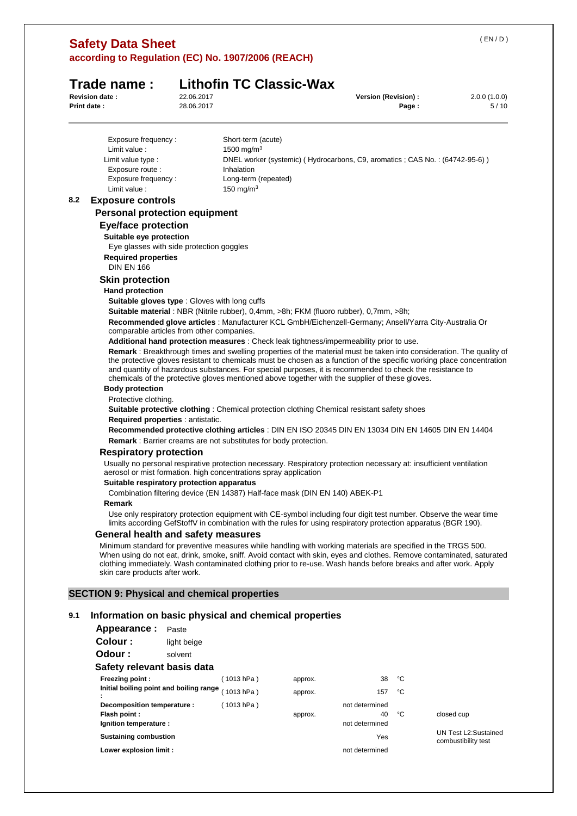# **Trade name : Lithofin TC Classic-Wax**

| <b>Revision date :</b> | 22.06.2017 | Version (Revision) : | 2.0.0(1.0.0) |
|------------------------|------------|----------------------|--------------|
| <b>Print date:</b>     | 28.06.2017 | Page.                | 5/10         |

|     | Exposure frequency:                                                                                                                                                                                                            | Short-term (acute)                                                          |  |  |  |
|-----|--------------------------------------------------------------------------------------------------------------------------------------------------------------------------------------------------------------------------------|-----------------------------------------------------------------------------|--|--|--|
|     | Limit value:                                                                                                                                                                                                                   | 1500 mg/m <sup>3</sup>                                                      |  |  |  |
|     | Limit value type :                                                                                                                                                                                                             | DNEL worker (systemic) (Hydrocarbons, C9, aromatics; CAS No.: (64742-95-6)) |  |  |  |
|     | Exposure route :                                                                                                                                                                                                               | Inhalation                                                                  |  |  |  |
|     | Exposure frequency:                                                                                                                                                                                                            | Long-term (repeated)                                                        |  |  |  |
|     | Limit value:                                                                                                                                                                                                                   | 150 mg/m $3$                                                                |  |  |  |
| 8.2 | <b>Exposure controls</b>                                                                                                                                                                                                       |                                                                             |  |  |  |
|     | <b>Personal protection equipment</b>                                                                                                                                                                                           |                                                                             |  |  |  |
|     | <b>Eye/face protection</b>                                                                                                                                                                                                     |                                                                             |  |  |  |
|     | Suitable eye protection                                                                                                                                                                                                        |                                                                             |  |  |  |
|     | Figure and the property of the contract of the composition of the component of the component of the component of the component of the component of the component of the component of the component of the component of the com |                                                                             |  |  |  |

Eye glasses with side protection goggles **Required properties** 

DIN EN 166

### **Skin protection**

### **Hand protection**

**Suitable gloves type** : Gloves with long cuffs

**Suitable material** : NBR (Nitrile rubber), 0,4mm, >8h; FKM (fluoro rubber), 0,7mm, >8h;

**Recommended glove articles** : Manufacturer KCL GmbH/Eichenzell-Germany; Ansell/Yarra City-Australia Or comparable articles from other companies.

**Additional hand protection measures** : Check leak tightness/impermeability prior to use.

**Remark** : Breakthrough times and swelling properties of the material must be taken into consideration. The quality of the protective gloves resistant to chemicals must be chosen as a function of the specific working place concentration and quantity of hazardous substances. For special purposes, it is recommended to check the resistance to chemicals of the protective gloves mentioned above together with the supplier of these gloves.

### **Body protection**

Protective clothing.

**Suitable protective clothing** : Chemical protection clothing Chemical resistant safety shoes

### **Required properties** : antistatic.

**Recommended protective clothing articles** : DIN EN ISO 20345 DIN EN 13034 DIN EN 14605 DIN EN 14404 **Remark** : Barrier creams are not substitutes for body protection.

### **Respiratory protection**

Usually no personal respirative protection necessary. Respiratory protection necessary at: insufficient ventilation aerosol or mist formation. high concentrations spray application

### **Suitable respiratory protection apparatus**

Combination filtering device (EN 14387) Half-face mask (DIN EN 140) ABEK-P1

### **Remark**

Use only respiratory protection equipment with CE-symbol including four digit test number. Observe the wear time limits according GefStoffV in combination with the rules for using respiratory protection apparatus (BGR 190).

### **General health and safety measures**

Minimum standard for preventive measures while handling with working materials are specified in the TRGS 500. When using do not eat, drink, smoke, sniff. Avoid contact with skin, eyes and clothes. Remove contaminated, saturated clothing immediately. Wash contaminated clothing prior to re-use. Wash hands before breaks and after work. Apply skin care products after work.

### **SECTION 9: Physical and chemical properties**

### **9.1 Information on basic physical and chemical properties**

| Appearance :                            | Paste       |             |         |                |    |                                             |
|-----------------------------------------|-------------|-------------|---------|----------------|----|---------------------------------------------|
| Colour :                                | light beige |             |         |                |    |                                             |
| Odour :                                 | solvent     |             |         |                |    |                                             |
| Safety relevant basis data              |             |             |         |                |    |                                             |
| Freezing point:                         |             | (1013 hPa ) | approx. | 38             | °С |                                             |
| Initial boiling point and boiling range |             | (1013 hPa)  | approx. | 157            | °C |                                             |
| Decomposition temperature :             |             | (1013 hPa ) |         | not determined |    |                                             |
| Flash point:                            |             |             | approx. | 40             | °C | closed cup                                  |
| Ignition temperature :                  |             |             |         | not determined |    |                                             |
| <b>Sustaining combustion</b>            |             |             |         | Yes            |    | UN Test L2:Sustained<br>combustibility test |
| Lower explosion limit :                 |             |             |         | not determined |    |                                             |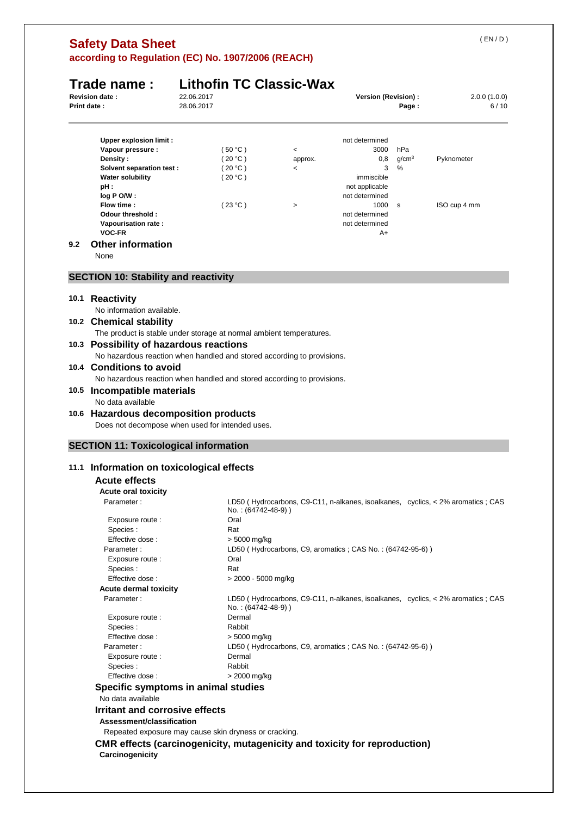## **Trade name : Lithofin TC Classic-Wax**<br>Revision date : 22.06.2017 **Revision date :** 22.06.2017 **Version (Revision) :** 2.0.0 (1.0.0) **Print date :** 28.06.2017 **Page :** 6 / 10 **Upper explosion limit :**  $\qquad \qquad \text{not determined}$ **Vapour pressure :**  $(50 °C)$   $\le$  3000 hPa<br> **Density :**  $(20 °C)$  approx. 0,8 g/cm<sup>3</sup> **Density : CONFIDENT (20 °C)** approx. CONFIDENT Approx. 0,8 g/cm<sup>3</sup> Pyknometer **Solvent separation test :**  $(20 °C)$  < 3 % **Water solubility immiscible**  $(20 °C)$  **immiscible pH :** not applicable **by the contract of the contract of the contract of the contract of the contract of the contract of the contract of the contract of the contract of the contract of the contract of the contract of the** not determined **Flow time :**  $(23 \text{ °C})$   $\rightarrow$  1000 s ISO cup 4 mm **Odour threshold : not determined** in the state of  $\alpha$  is a state of  $\alpha$  is a state of  $\alpha$  is a state of  $\alpha$  is a state of  $\alpha$  is a state of  $\alpha$  is a state of  $\alpha$  is a state of  $\alpha$  is a state of  $\alpha$  is a state o **Vapourisation rate :**  $\overline{A}$  **Vapourisation rate :**  $\overline{A}$  **1 VOC-FR** A+ **9.2 Other information**  None **SECTION 10: Stability and reactivity 10.1 Reactivity**  No information available. **10.2 Chemical stability**  The product is stable under storage at normal ambient temperatures. **10.3 Possibility of hazardous reactions**  No hazardous reaction when handled and stored according to provisions. **10.4 Conditions to avoid**  No hazardous reaction when handled and stored according to provisions. **10.5 Incompatible materials**  No data available **10.6 Hazardous decomposition products**  Does not decompose when used for intended uses. **SECTION 11: Toxicological information 11.1 Information on toxicological effects Acute effects Acute oral toxicity**  LD50 ( Hydrocarbons, C9-C11, n-alkanes, isoalkanes, cyclics, < 2% aromatics ; CAS No. : (64742-48-9) ) Exposure route : Oral Species : Rat

| Exposure route :                      | Oral                                                                                                  |
|---------------------------------------|-------------------------------------------------------------------------------------------------------|
| Species :                             | Rat                                                                                                   |
| Effective dose:                       | > 5000 mg/kg                                                                                          |
| Parameter:                            | LD50 (Hydrocarbons, C9, aromatics; CAS No.: (64742-95-6))                                             |
| Exposure route :                      | Oral                                                                                                  |
| Species :                             | Rat                                                                                                   |
| Effective dose:                       | > 2000 - 5000 mg/kg                                                                                   |
| <b>Acute dermal toxicity</b>          |                                                                                                       |
| Parameter:                            | LD50 (Hydrocarbons, C9-C11, n-alkanes, isoalkanes, cyclics, < 2% aromatics; CAS<br>No.: (64742-48-9)) |
| Exposure route :                      | Dermal                                                                                                |
| Species:                              | Rabbit                                                                                                |
| Effective dose:                       | > 5000 mg/kg                                                                                          |
| Parameter:                            | LD50 (Hydrocarbons, C9, aromatics; CAS No.: (64742-95-6))                                             |
| Exposure route :                      | Dermal                                                                                                |
| Species :                             | Rabbit                                                                                                |
| Effective dose:                       | > 2000 mg/kg                                                                                          |
| Specific symptoms in animal studies   |                                                                                                       |
| No data available                     |                                                                                                       |
| <b>Irritant and corrosive effects</b> |                                                                                                       |
| Assessment/classification             |                                                                                                       |
|                                       | Repeated exposure may cause skin dryness or cracking.                                                 |
| Carcinogenicity                       | <b>CMR</b> effects (carcinogenicity, mutagenicity and toxicity for reproduction)                      |
|                                       |                                                                                                       |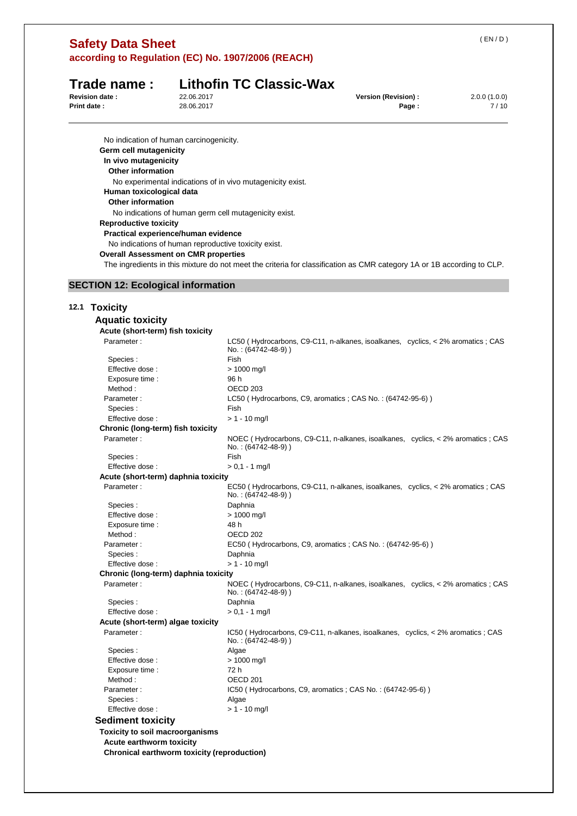**Revision date :** 22.06.2017 **Version (Revision) :** 2.0.0 (1.0.0)

# **Trade name : Lithofin TC Classic-Wax**

| 22.06.2017 |  |
|------------|--|
| 28.06.2017 |  |

| <b>Revision date:</b> | 22.06.2017 | Version (Revision) : | 2.0.0(1.0.0) |
|-----------------------|------------|----------------------|--------------|
| Print date:           | 28.06.2017 | Page                 | 7/10         |

No indication of human carcinogenicity. **Germ cell mutagenicity In vivo mutagenicity Other information**  No experimental indications of in vivo mutagenicity exist. **Human toxicological data Other information**  No indications of human germ cell mutagenicity exist. **Reproductive toxicity Practical experience/human evidence**  No indications of human reproductive toxicity exist. **Overall Assessment on CMR properties** 

The ingredients in this mixture do not meet the criteria for classification as CMR category 1A or 1B according to CLP.

## **SECTION 12: Ecological information**

| 12.1 Toxicity                                               |                                                                                                        |  |  |  |
|-------------------------------------------------------------|--------------------------------------------------------------------------------------------------------|--|--|--|
| <b>Aquatic toxicity</b><br>Acute (short-term) fish toxicity |                                                                                                        |  |  |  |
| Parameter:                                                  | LC50 (Hydrocarbons, C9-C11, n-alkanes, isoalkanes, cyclics, < 2% aromatics ; CAS<br>No.: (64742-48-9)) |  |  |  |
| Species:                                                    | Fish                                                                                                   |  |  |  |
| Effective dose:                                             | $> 1000$ mg/l                                                                                          |  |  |  |
| Exposure time :                                             | 96 h                                                                                                   |  |  |  |
| Method:                                                     | OECD <sub>203</sub>                                                                                    |  |  |  |
| Parameter:                                                  | LC50 (Hydrocarbons, C9, aromatics; CAS No.: (64742-95-6))                                              |  |  |  |
| Species:                                                    | Fish                                                                                                   |  |  |  |
| Effective dose:                                             | $> 1 - 10$ mg/l                                                                                        |  |  |  |
| Chronic (long-term) fish toxicity                           |                                                                                                        |  |  |  |
| Parameter:                                                  | NOEC (Hydrocarbons, C9-C11, n-alkanes, isoalkanes, cyclics, < 2% aromatics : CAS<br>No.: (64742-48-9)) |  |  |  |
| Species:                                                    | Fish                                                                                                   |  |  |  |
| Effective dose:                                             | $> 0.1 - 1$ mg/l                                                                                       |  |  |  |
| Acute (short-term) daphnia toxicity                         |                                                                                                        |  |  |  |
| Parameter:                                                  | EC50 (Hydrocarbons, C9-C11, n-alkanes, isoalkanes, cyclics, < 2% aromatics ; CAS<br>No.: (64742-48-9)) |  |  |  |
| Species :                                                   | Daphnia                                                                                                |  |  |  |
| Effective dose:                                             | $> 1000$ mg/l                                                                                          |  |  |  |
| Exposure time :                                             | 48 h                                                                                                   |  |  |  |
| Method:                                                     | OECD <sub>202</sub>                                                                                    |  |  |  |
| Parameter:                                                  | EC50 (Hydrocarbons, C9, aromatics; CAS No.: (64742-95-6))                                              |  |  |  |
| Species :                                                   | Daphnia                                                                                                |  |  |  |
| Effective dose:                                             | $> 1 - 10$ mg/l                                                                                        |  |  |  |
| Chronic (long-term) daphnia toxicity                        |                                                                                                        |  |  |  |
| Parameter:                                                  | NOEC (Hydrocarbons, C9-C11, n-alkanes, isoalkanes, cyclics, < 2% aromatics ; CAS<br>No.: (64742-48-9)) |  |  |  |
| Species:                                                    | Daphnia                                                                                                |  |  |  |
| Effective dose:                                             | $> 0.1 - 1$ mg/l                                                                                       |  |  |  |
| Acute (short-term) algae toxicity                           |                                                                                                        |  |  |  |
| Parameter:                                                  | IC50 (Hydrocarbons, C9-C11, n-alkanes, isoalkanes, cyclics, < 2% aromatics; CAS<br>No.: (64742-48-9))  |  |  |  |
| Species:                                                    | Algae                                                                                                  |  |  |  |
| Effective dose:                                             | $> 1000$ mg/l                                                                                          |  |  |  |
| Exposure time :                                             | 72 h                                                                                                   |  |  |  |
| Method:                                                     | OECD <sub>201</sub>                                                                                    |  |  |  |
| Parameter:                                                  | IC50 (Hydrocarbons, C9, aromatics; CAS No.: (64742-95-6))                                              |  |  |  |
| Species:                                                    | Algae                                                                                                  |  |  |  |
| Effective dose:                                             | $> 1 - 10$ mg/l                                                                                        |  |  |  |
| <b>Sediment toxicity</b>                                    |                                                                                                        |  |  |  |
| <b>Toxicity to soil macroorganisms</b>                      |                                                                                                        |  |  |  |
| Acute earthworm toxicity                                    |                                                                                                        |  |  |  |
| Chronical earthworm toxicity (reproduction)                 |                                                                                                        |  |  |  |
|                                                             |                                                                                                        |  |  |  |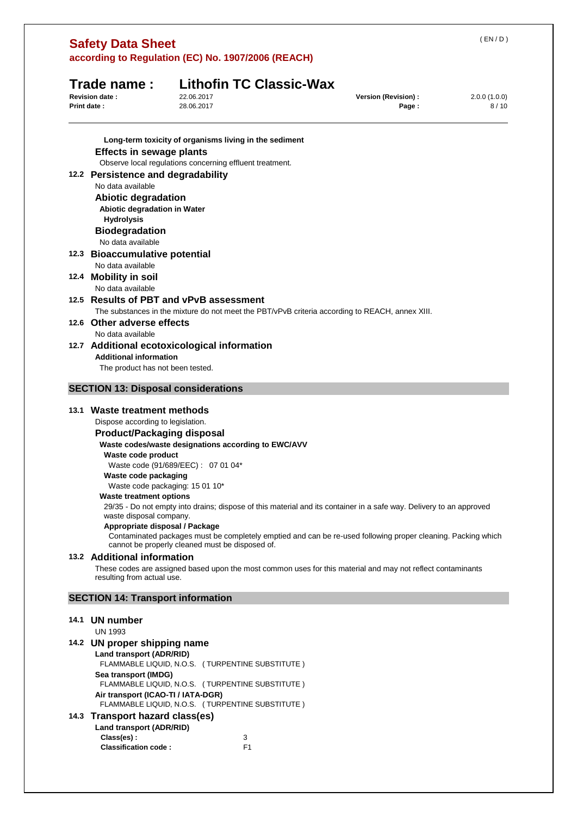| Trade name :<br><b>Revision date:</b><br>Print date:              | <b>Lithofin TC Classic-Wax</b><br>22.06.2017<br>28.06.2017 | Version (Revision) :<br>Page:                                                                                       | 2.0.0(1.0.0)<br>8/10 |
|-------------------------------------------------------------------|------------------------------------------------------------|---------------------------------------------------------------------------------------------------------------------|----------------------|
|                                                                   | Long-term toxicity of organisms living in the sediment     |                                                                                                                     |                      |
| <b>Effects in sewage plants</b>                                   |                                                            |                                                                                                                     |                      |
|                                                                   | Observe local regulations concerning effluent treatment.   |                                                                                                                     |                      |
| 12.2 Persistence and degradability                                |                                                            |                                                                                                                     |                      |
| No data available                                                 |                                                            |                                                                                                                     |                      |
| <b>Abiotic degradation</b>                                        |                                                            |                                                                                                                     |                      |
| Abiotic degradation in Water                                      |                                                            |                                                                                                                     |                      |
| <b>Hydrolysis</b>                                                 |                                                            |                                                                                                                     |                      |
| <b>Biodegradation</b>                                             |                                                            |                                                                                                                     |                      |
| No data available                                                 |                                                            |                                                                                                                     |                      |
| 12.3 Bioaccumulative potential                                    |                                                            |                                                                                                                     |                      |
| No data available                                                 |                                                            |                                                                                                                     |                      |
| 12.4 Mobility in soil                                             |                                                            |                                                                                                                     |                      |
| No data available                                                 |                                                            |                                                                                                                     |                      |
|                                                                   | 12.5 Results of PBT and vPvB assessment                    |                                                                                                                     |                      |
|                                                                   |                                                            | The substances in the mixture do not meet the PBT/vPvB criteria according to REACH, annex XIII.                     |                      |
| 12.6 Other adverse effects                                        |                                                            |                                                                                                                     |                      |
| No data available                                                 |                                                            |                                                                                                                     |                      |
|                                                                   | 12.7 Additional ecotoxicological information               |                                                                                                                     |                      |
| <b>Additional information</b><br>The product has not been tested. |                                                            |                                                                                                                     |                      |
|                                                                   |                                                            |                                                                                                                     |                      |
| <b>SECTION 13: Disposal considerations</b>                        |                                                            |                                                                                                                     |                      |
| 13.1 Waste treatment methods                                      |                                                            |                                                                                                                     |                      |
| Dispose according to legislation.                                 |                                                            |                                                                                                                     |                      |
| <b>Product/Packaging disposal</b>                                 |                                                            |                                                                                                                     |                      |
|                                                                   | Waste codes/waste designations according to EWC/AVV        |                                                                                                                     |                      |
| Waste code product                                                |                                                            |                                                                                                                     |                      |
|                                                                   | Waste code (91/689/EEC) : 07 01 04*                        |                                                                                                                     |                      |
| Waste code packaging                                              |                                                            |                                                                                                                     |                      |
| Waste code packaging: 15 01 10*<br><b>Waste treatment options</b> |                                                            |                                                                                                                     |                      |
|                                                                   |                                                            | 29/35 - Do not empty into drains; dispose of this material and its container in a safe way. Delivery to an approved |                      |
| waste disposal company.                                           |                                                            |                                                                                                                     |                      |
| Appropriate disposal / Package                                    |                                                            |                                                                                                                     |                      |
|                                                                   | cannot be properly cleaned must be disposed of.            | Contaminated packages must be completely emptied and can be re-used following proper cleaning. Packing which        |                      |
| 13.2 Additional information                                       |                                                            |                                                                                                                     |                      |
| resulting from actual use.                                        |                                                            | These codes are assigned based upon the most common uses for this material and may not reflect contaminants         |                      |
| <b>SECTION 14: Transport information</b>                          |                                                            |                                                                                                                     |                      |
| 14.1 UN number                                                    |                                                            |                                                                                                                     |                      |
| <b>UN 1993</b>                                                    |                                                            |                                                                                                                     |                      |
| 14.2 UN proper shipping name                                      |                                                            |                                                                                                                     |                      |
| Land transport (ADR/RID)                                          |                                                            |                                                                                                                     |                      |
|                                                                   | FLAMMABLE LIQUID, N.O.S. (TURPENTINE SUBSTITUTE)           |                                                                                                                     |                      |
| Sea transport (IMDG)                                              |                                                            |                                                                                                                     |                      |
|                                                                   | FLAMMABLE LIQUID, N.O.S. (TURPENTINE SUBSTITUTE)           |                                                                                                                     |                      |
| Air transport (ICAO-TI / IATA-DGR)                                |                                                            |                                                                                                                     |                      |
| 14.3 Transport hazard class(es)                                   | FLAMMABLE LIQUID, N.O.S. (TURPENTINE SUBSTITUTE)           |                                                                                                                     |                      |
|                                                                   |                                                            |                                                                                                                     |                      |

**Land transport (ADR/RID) Class(es) :** <br> **Class(es) :** 3<br> **Classification code :** F1 **Classification code :**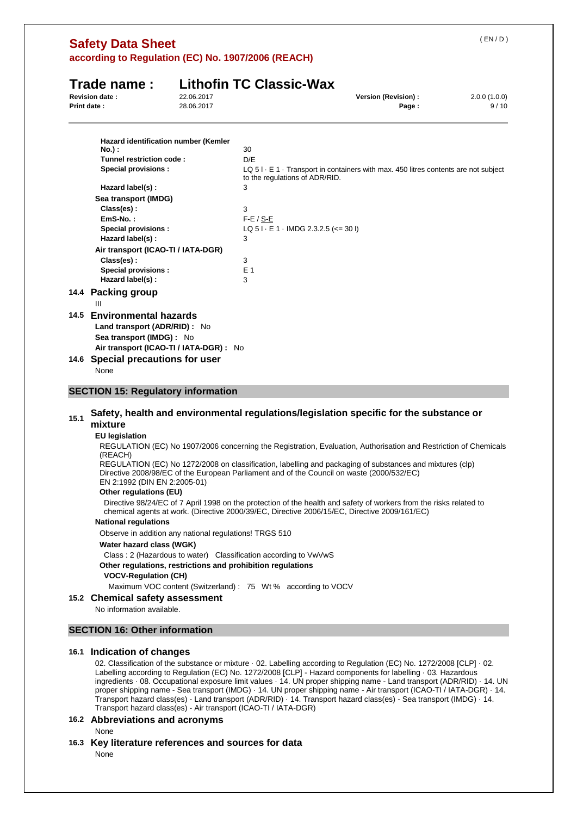| <b>Safety Data Sheet</b> |                                                    |
|--------------------------|----------------------------------------------------|
|                          | according to Regulation (EC) No. 1907/2006 (REACH) |

| Trade name :<br><b>Revision date:</b><br>22.06.2017                                                                                 |            | <b>Lithofin TC Classic-Wax</b><br>Version (Revision) :<br>2.0.0(1.0.0)                                                                      |  |  |
|-------------------------------------------------------------------------------------------------------------------------------------|------------|---------------------------------------------------------------------------------------------------------------------------------------------|--|--|
| Print date:                                                                                                                         | 28.06.2017 | 9/10<br>Page:                                                                                                                               |  |  |
| Hazard identification number (Kemler                                                                                                |            |                                                                                                                                             |  |  |
| No.) :                                                                                                                              |            | 30                                                                                                                                          |  |  |
| Tunnel restriction code:<br><b>Special provisions:</b>                                                                              |            | D/E<br>$LQ$ 5 l $\cdot$ E 1 $\cdot$ Transport in containers with max. 450 litres contents are not subject<br>to the regulations of ADR/RID. |  |  |
| Hazard label(s):                                                                                                                    |            | 3                                                                                                                                           |  |  |
| Sea transport (IMDG)                                                                                                                |            |                                                                                                                                             |  |  |
| Class(es):                                                                                                                          |            | 3                                                                                                                                           |  |  |
| EmS-No.:                                                                                                                            |            | $F-E / S-E$                                                                                                                                 |  |  |
| <b>Special provisions:</b>                                                                                                          |            | LQ $51 \cdot E1 \cdot IMDG$ 2.3.2.5 (<= 30 l)                                                                                               |  |  |
| Hazard label(s):                                                                                                                    |            | 3                                                                                                                                           |  |  |
| Air transport (ICAO-TI / IATA-DGR)                                                                                                  |            |                                                                                                                                             |  |  |
| Class(es):                                                                                                                          |            | 3                                                                                                                                           |  |  |
| <b>Special provisions:</b>                                                                                                          |            | E <sub>1</sub>                                                                                                                              |  |  |
| Hazard label(s):                                                                                                                    |            | 3                                                                                                                                           |  |  |
| 14.4 Packing group<br>Ш                                                                                                             |            |                                                                                                                                             |  |  |
| 14.5 Environmental hazards<br>Land transport (ADR/RID) : No<br>Sea transport (IMDG) : No<br>Air transport (ICAO-TI / IATA-DGR) : No |            |                                                                                                                                             |  |  |
| Special precautions for user<br>14.6<br>None                                                                                        |            |                                                                                                                                             |  |  |

### **SECTION 15: Regulatory information**

### **15.1 Safety, health and environmental regulations/legislation specific for the substance or mixture**

### **EU legislation**

REGULATION (EC) No 1907/2006 concerning the Registration, Evaluation, Authorisation and Restriction of Chemicals (REACH)

REGULATION (EC) No 1272/2008 on classification, labelling and packaging of substances and mixtures (clp) Directive 2008/98/EC of the European Parliament and of the Council on waste (2000/532/EC) EN 2:1992 (DIN EN 2:2005-01)

### **Other regulations (EU)**

Directive 98/24/EC of 7 April 1998 on the protection of the health and safety of workers from the risks related to chemical agents at work. (Directive 2000/39/EC, Directive 2006/15/EC, Directive 2009/161/EC)

### **National regulations**

Observe in addition any national regulations! TRGS 510

### **Water hazard class (WGK)**

Class : 2 (Hazardous to water) Classification according to VwVwS **Other regulations, restrictions and prohibition regulations VOCV-Regulation (CH)** 

Maximum VOC content (Switzerland) : 75 Wt % according to VOCV

### **15.2 Chemical safety assessment**

No information available.

### **SECTION 16: Other information**

### **16.1 Indication of changes**

02. Classification of the substance or mixture · 02. Labelling according to Regulation (EC) No. 1272/2008 [CLP] · 02. Labelling according to Regulation (EC) No. 1272/2008 [CLP] - Hazard components for labelling · 03. Hazardous ingredients · 08. Occupational exposure limit values · 14. UN proper shipping name - Land transport (ADR/RID) · 14. UN proper shipping name - Sea transport (IMDG) · 14. UN proper shipping name - Air transport (ICAO-TI / IATA-DGR) · 14. Transport hazard class(es) - Land transport (ADR/RID) · 14. Transport hazard class(es) - Sea transport (IMDG) · 14. Transport hazard class(es) - Air transport (ICAO-TI / IATA-DGR)

### **16.2 Abbreviations and acronyms**

None

### **16.3 Key literature references and sources for data**  None